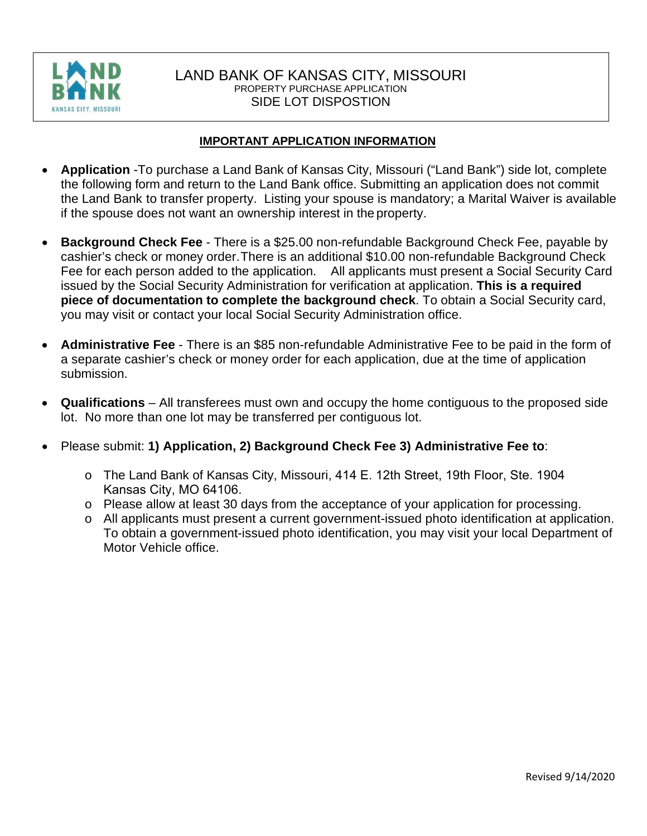

## LAND BANK OF KANSAS CITY, MISSOURI PROPERTY PURCHASE APPLICATION SIDE LOT DISPOSTION

## **IMPORTANT APPLICATION INFORMATION**

- **Application** -To purchase a Land Bank of Kansas City, Missouri ("Land Bank") side lot, complete the following form and return to the Land Bank office. Submitting an application does not commit the Land Bank to transfer property. Listing your spouse is mandatory; a Marital Waiver is available if the spouse does not want an ownership interest in the property.
- **Background Check Fee**  There is a \$25.00 non-refundable Background Check Fee, payable by cashier's check or money order. There is an additional \$10.00 non-refundable Background Check Fee for each person added to the application. All applicants must present a Social Security Card issued by the Social Security Administration for verification at application. **This is a required piece of documentation to complete the background check**. To obtain a Social Security card, you may visit or contact your local Social Security Administration office.
- **Administrative Fee**  There is an \$85 non-refundable Administrative Fee to be paid in the form of a separate cashier's check or money order for each application, due at the time of application submission.
- **Qualifications** All transferees must own and occupy the home contiguous to the proposed side lot. No more than one lot may be transferred per contiguous lot.
- Please submit: **1) Application, 2) Background Check Fee 3) Administrative Fee to**:
	- o The Land Bank of Kansas City, Missouri, 414 E. 12th Street, 19th Floor, Ste. 1904 Kansas City, MO 64106.
	- o Please allow at least 30 days from the acceptance of your application for processing.
	- o All applicants must present a current government-issued photo identification at application. To obtain a government-issued photo identification, you may visit your local Department of Motor Vehicle office.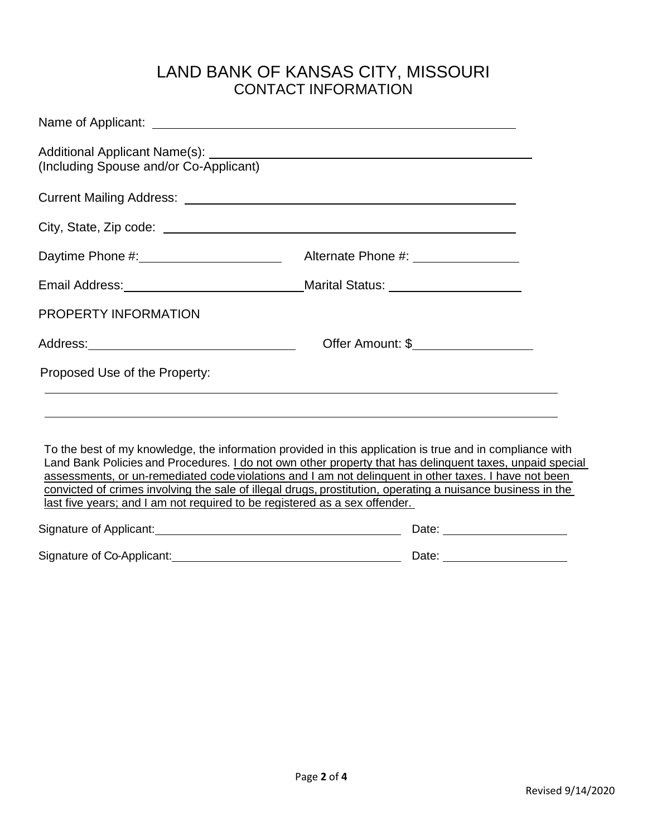## LAND BANK OF KANSAS CITY, MISSOURI CONTACT INFORMATION

| (Including Spouse and/or Co-Applicant)                                                                         |                                                                                                                                                                                                                                                                                                                                                                                                                                              |
|----------------------------------------------------------------------------------------------------------------|----------------------------------------------------------------------------------------------------------------------------------------------------------------------------------------------------------------------------------------------------------------------------------------------------------------------------------------------------------------------------------------------------------------------------------------------|
| Current Mailing Address: Care and Current Mailing Address: Current Mailing Address:                            |                                                                                                                                                                                                                                                                                                                                                                                                                                              |
|                                                                                                                |                                                                                                                                                                                                                                                                                                                                                                                                                                              |
| Daytime Phone #: _______________________<br>Alternate Phone #: __________________                              |                                                                                                                                                                                                                                                                                                                                                                                                                                              |
| Email Address: Marital Status: Marital Status: Marital Status: Marital Status: Marital Status: Marital Status: |                                                                                                                                                                                                                                                                                                                                                                                                                                              |
| PROPERTY INFORMATION                                                                                           |                                                                                                                                                                                                                                                                                                                                                                                                                                              |
|                                                                                                                | Offer Amount: \$                                                                                                                                                                                                                                                                                                                                                                                                                             |
| Proposed Use of the Property:                                                                                  |                                                                                                                                                                                                                                                                                                                                                                                                                                              |
|                                                                                                                | <u> 1989 - Johann Stoff, deutscher Stoffen und der Stoffen und der Stoffen und der Stoffen und der Stoffen und der</u><br>,我们也不能会有一个人的事情。""我们的人们是不是我们的人,我们也不能会有一个人的人,我们也不能会有一个人的人,我们也不能会有一个人的人,我们也不能会有一个人的                                                                                                                                                                                                                                   |
| last five years; and I am not required to be registered as a sex offender.                                     | To the best of my knowledge, the information provided in this application is true and in compliance with<br>Land Bank Policies and Procedures. I do not own other property that has delinguent taxes, unpaid special<br>assessments, or un-remediated code violations and I am not delinguent in other taxes. I have not been<br>convicted of crimes involving the sale of illegal drugs, prostitution, operating a nuisance business in the |
|                                                                                                                |                                                                                                                                                                                                                                                                                                                                                                                                                                              |
|                                                                                                                |                                                                                                                                                                                                                                                                                                                                                                                                                                              |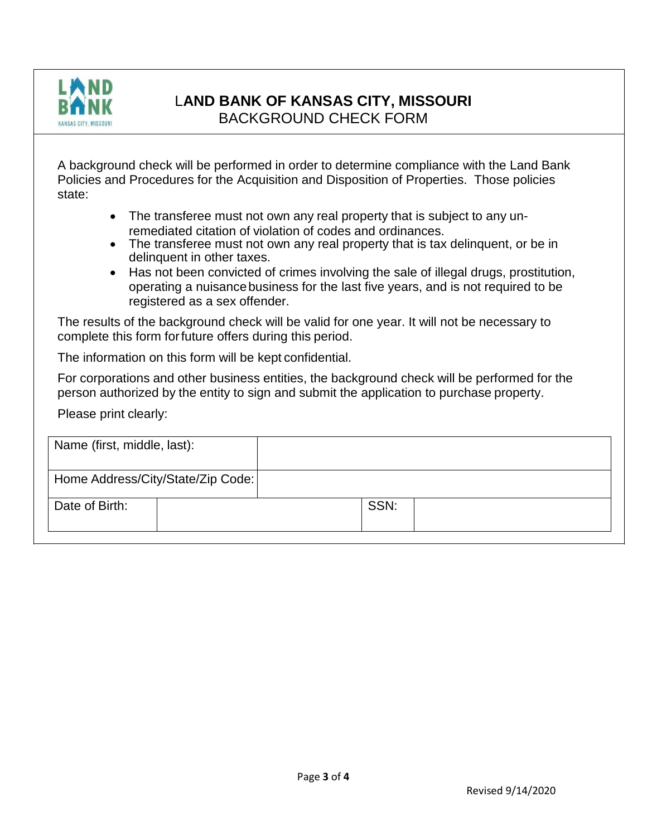

## L**AND BANK OF KANSAS CITY, MISSOURI**

BACKGROUND CHECK FORM

A background check will be performed in order to determine compliance with the Land Bank Policies and Procedures for the Acquisition and Disposition of Properties. Those policies state:

- The transferee must not own any real property that is subject to any unremediated citation of violation of codes and ordinances.
- The transferee must not own any real property that is tax delinguent, or be in delinquent in other taxes.
- Has not been convicted of crimes involving the sale of illegal drugs, prostitution, operating a nuisancebusiness for the last five years, and is not required to be registered as a sex offender.

The results of the background check will be valid for one year. It will not be necessary to complete this form forfuture offers during this period.

The information on this form will be kept confidential.

For corporations and other business entities, the background check will be performed for the person authorized by the entity to sign and submit the application to purchase property.

Please print clearly:

| Name (first, middle, last):       |      |  |
|-----------------------------------|------|--|
| Home Address/City/State/Zip Code: |      |  |
| Date of Birth:                    | SSN: |  |